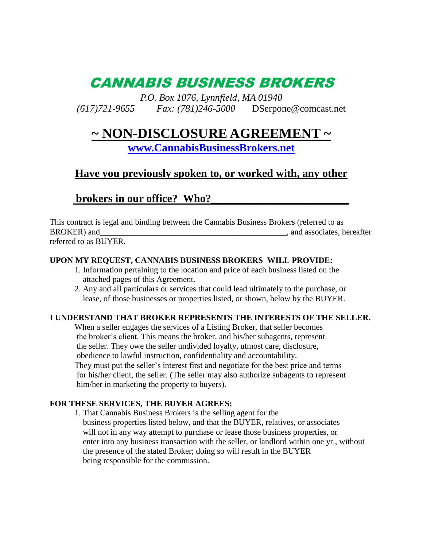# CANNABIS BUSINESS BROKERS

*P.O. Box 1076, Lynnfield, MA 01940 (617)721-9655 Fax: (781)246-5000* DSerpone@comcast.net

## **~ NON-DISCLOSURE AGREEMENT ~**

**[www.CannabisBusinessBrokers.net](http://www.cannabisbusinessbrokers.net/)**

### **Have you previously spoken to, or worked with, any other**

### brokers in our office? Who?

This contract is legal and binding between the Cannabis Business Brokers (referred to as BROKER) and\_\_\_\_\_\_\_\_\_\_\_\_\_\_\_\_\_\_\_\_\_\_\_\_\_\_\_\_\_\_\_\_\_\_\_\_\_\_\_\_\_\_\_\_\_, and associates, hereafter referred to as BUYER.

#### **UPON MY REQUEST, CANNABIS BUSINESS BROKERS WILL PROVIDE:**

- 1. Information pertaining to the location and price of each business listed on the attached pages of this Agreement.
- 2. Any and all particulars or services that could lead ultimately to the purchase, or lease, of those businesses or properties listed, or shown, below by the BUYER.

#### **I UNDERSTAND THAT BROKER REPRESENTS THE INTERESTS OF THE SELLER.**

When a seller engages the services of a Listing Broker, that seller becomes the broker's client. This means the broker, and his/her subagents, represent the seller. They owe the seller undivided loyalty, utmost care, disclosure, obedience to lawful instruction, confidentiality and accountability. They must put the seller's interest first and negotiate for the best price and terms for his/her client, the seller. (The seller may also authorize subagents to represent him/her in marketing the property to buyers).

#### **FOR THESE SERVICES, THE BUYER AGREES:**

1. That Cannabis Business Brokers is the selling agent for the business properties listed below, and that the BUYER, relatives, or associates will not in any way attempt to purchase or lease those business properties, or enter into any business transaction with the seller, or landlord within one yr., without the presence of the stated Broker; doing so will result in the BUYER being responsible for the commission.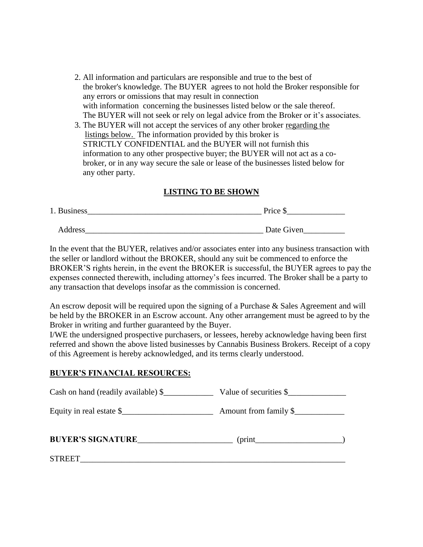- 2. All information and particulars are responsible and true to the best of the broker's knowledge. The BUYER agrees to not hold the Broker responsible for any errors or omissions that may result in connection with information concerning the businesses listed below or the sale thereof. The BUYER will not seek or rely on legal advice from the Broker or it's associates.
- 3. The BUYER will not accept the services of any other broker regarding the listings below. The information provided by this broker is STRICTLY CONFIDENTIAL and the BUYER will not furnish this information to any other prospective buyer; the BUYER will not act as a co broker, or in any way secure the sale or lease of the businesses listed below for any other party.

#### **LISTING TO BE SHOWN**

| 1. Business | Price \$   |
|-------------|------------|
|             |            |
| Address     | Date Given |

In the event that the BUYER, relatives and/or associates enter into any business transaction with the seller or landlord without the BROKER, should any suit be commenced to enforce the BROKER'S rights herein, in the event the BROKER is successful, the BUYER agrees to pay the expenses connected therewith, including attorney's fees incurred. The Broker shall be a party to any transaction that develops insofar as the commission is concerned.

An escrow deposit will be required upon the signing of a Purchase & Sales Agreement and will be held by the BROKER in an Escrow account. Any other arrangement must be agreed to by the Broker in writing and further guaranteed by the Buyer.

I/WE the undersigned prospective purchasers, or lessees, hereby acknowledge having been first referred and shown the above listed businesses by Cannabis Business Brokers. Receipt of a copy of this Agreement is hereby acknowledged, and its terms clearly understood.

#### **BUYER'S FINANCIAL RESOURCES:**

| Cash on hand (readily available) \$ | Value of securities \$ |
|-------------------------------------|------------------------|
| Equity in real estate \$            | Amount from family \$  |
| BUYER'S SIGNATURE                   | $(\text{print}$        |
| <b>STREET</b>                       |                        |